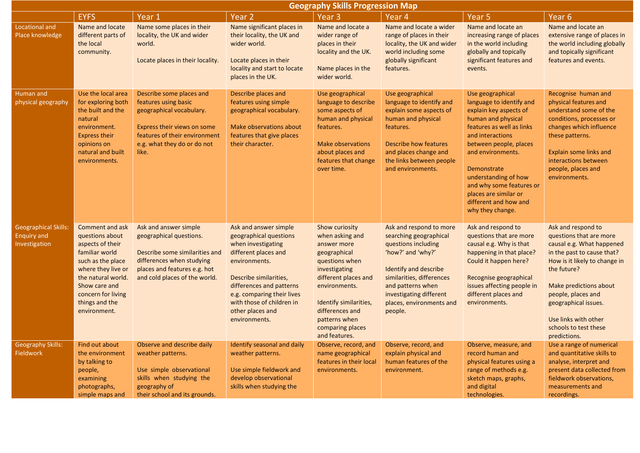|                                                                    | <b>Geography Skills Progression Map</b>                                                                                                                                                                            |                                                                                                                                                                                      |                                                                                                                                                                                                                                                                      |                                                                                                                                                                                                                                                 |                                                                                                                                                                                                                                            |                                                                                                                                                                                                                                                                                                                                       |                                                                                                                                                                                                                                                                                                   |  |  |  |
|--------------------------------------------------------------------|--------------------------------------------------------------------------------------------------------------------------------------------------------------------------------------------------------------------|--------------------------------------------------------------------------------------------------------------------------------------------------------------------------------------|----------------------------------------------------------------------------------------------------------------------------------------------------------------------------------------------------------------------------------------------------------------------|-------------------------------------------------------------------------------------------------------------------------------------------------------------------------------------------------------------------------------------------------|--------------------------------------------------------------------------------------------------------------------------------------------------------------------------------------------------------------------------------------------|---------------------------------------------------------------------------------------------------------------------------------------------------------------------------------------------------------------------------------------------------------------------------------------------------------------------------------------|---------------------------------------------------------------------------------------------------------------------------------------------------------------------------------------------------------------------------------------------------------------------------------------------------|--|--|--|
|                                                                    | <b>EYFS</b>                                                                                                                                                                                                        | Year 1                                                                                                                                                                               | Year <sub>2</sub>                                                                                                                                                                                                                                                    | Year <sub>3</sub>                                                                                                                                                                                                                               | Year 4                                                                                                                                                                                                                                     | Year 5                                                                                                                                                                                                                                                                                                                                | Year <sub>6</sub>                                                                                                                                                                                                                                                                                 |  |  |  |
| <b>Locational and</b><br>Place knowledge                           | Name and locate<br>different parts of<br>the local<br>community.                                                                                                                                                   | Name some places in their<br>locality, the UK and wider<br>world.<br>Locate places in their locality.                                                                                | Name significant places in<br>their locality, the UK and<br>wider world.<br>Locate places in their<br>locality and start to locate<br>places in the UK.                                                                                                              | Name and locate a<br>wider range of<br>places in their<br>locality and the UK.<br>Name places in the<br>wider world.                                                                                                                            | Name and locate a wider<br>range of places in their<br>locality, the UK and wider<br>world including some<br>globally significant<br>features.                                                                                             | Name and locate an<br>increasing range of places<br>in the world including<br>globally and topically<br>significant features and<br>events.                                                                                                                                                                                           | Name and locate an<br>extensive range of places in<br>the world including globally<br>and topically significant<br>features and events.                                                                                                                                                           |  |  |  |
| Human and<br>physical geography                                    | Use the local area<br>for exploring both<br>the built and the<br>natural<br>environment.<br><b>Express their</b><br>opinions on<br>natural and built<br>environments.                                              | Describe some places and<br>features using basic<br>geographical vocabulary.<br>Express their views on some<br>features of their environment<br>e.g. what they do or do not<br>like. | Describe places and<br>features using simple<br>geographical vocabulary.<br>Make observations about<br>features that give places<br>their character.                                                                                                                 | Use geographical<br>language to describe<br>some aspects of<br>human and physical<br>features.<br><b>Make observations</b><br>about places and<br>features that change<br>over time.                                                            | Use geographical<br>language to identify and<br>explain some aspects of<br>human and physical<br>features.<br><b>Describe how features</b><br>and places change and<br>the links between people<br>and environments.                       | Use geographical<br>language to identify and<br>explain key aspects of<br>human and physical<br>features as well as links<br>and interactions<br>between people, places<br>and environments.<br>Demonstrate<br>understanding of how<br>and why some features or<br>places are similar or<br>different and how and<br>why they change. | Recognise human and<br>physical features and<br>understand some of the<br>conditions, processes or<br>changes which influence<br>these patterns.<br><b>Explain some links and</b><br>interactions between<br>people, places and<br>environments.                                                  |  |  |  |
| <b>Geographical Skills:</b><br><b>Enquiry and</b><br>Investigation | Comment and ask<br>questions about<br>aspects of their<br>familiar world<br>such as the place<br>where they live or<br>the natural world.<br>Show care and<br>concern for living<br>things and the<br>environment. | Ask and answer simple<br>geographical questions.<br>Describe some similarities and<br>differences when studying<br>places and features e.g. hot<br>and cold places of the world.     | Ask and answer simple<br>geographical questions<br>when investigating<br>different places and<br>environments.<br>Describe similarities,<br>differences and patterns<br>e.g. comparing their lives<br>with those of children in<br>other places and<br>environments. | Show curiosity<br>when asking and<br>answer more<br>geographical<br>questions when<br>investigating<br>different places and<br>environments.<br>Identify similarities,<br>differences and<br>patterns when<br>comparing places<br>and features. | Ask and respond to more<br>searching geographical<br>questions including<br>'how?' and 'why?'<br>Identify and describe<br>similarities, differences<br>and patterns when<br>investigating different<br>places, environments and<br>people. | Ask and respond to<br>questions that are more<br>causal e.g. Why is that<br>happening in that place?<br>Could it happen here?<br>Recognise geographical<br>issues affecting people in<br>different places and<br>environments.                                                                                                        | Ask and respond to<br>questions that are more<br>causal e.g. What happened<br>in the past to cause that?<br>How is it likely to change in<br>the future?<br>Make predictions about<br>people, places and<br>geographical issues.<br>Use links with other<br>schools to test these<br>predictions. |  |  |  |
| <b>Geography Skills:</b><br><b>Fieldwork</b>                       | Find out about<br>the environment<br>by talking to<br>people,<br>examining<br>photographs,<br>simple maps and                                                                                                      | Observe and describe daily<br>weather patterns.<br>Use simple observational<br>skills when studying the<br>geography of<br>their school and its grounds.                             | Identify seasonal and daily<br>weather patterns.<br>Use simple fieldwork and<br>develop observational<br>skills when studying the                                                                                                                                    | Observe, record, and<br>name geographical<br>features in their local<br>environments.                                                                                                                                                           | Observe, record, and<br>explain physical and<br>human features of the<br>environment.                                                                                                                                                      | Observe, measure, and<br>record human and<br>physical features using a<br>range of methods e.g.<br>sketch maps, graphs,<br>and digital<br>technologies.                                                                                                                                                                               | Use a range of numerical<br>and quantitative skills to<br>analyse, interpret and<br>present data collected from<br>fieldwork observations,<br>measurements and<br>recordings.                                                                                                                     |  |  |  |